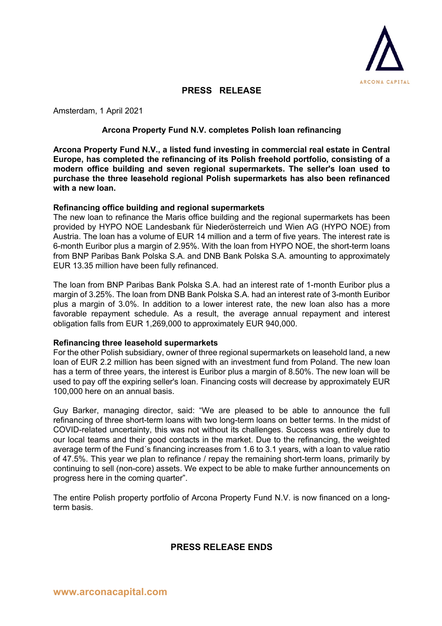

# **PRESS RELEASE**

Amsterdam, 1 April 2021

#### **Arcona Property Fund N.V. completes Polish loan refinancing**

**Arcona Property Fund N.V., a listed fund investing in commercial real estate in Central Europe, has completed the refinancing of its Polish freehold portfolio, consisting of a modern office building and seven regional supermarkets. The seller's loan used to purchase the three leasehold regional Polish supermarkets has also been refinanced with a new loan.**

#### **Refinancing office building and regional supermarkets**

The new loan to refinance the Maris office building and the regional supermarkets has been provided by HYPO NOE Landesbank für Niederösterreich und Wien AG (HYPO NOE) from Austria. The loan has a volume of EUR 14 million and a term of five years. The interest rate is 6-month Euribor plus a margin of 2.95%. With the loan from HYPO NOE, the short-term loans from BNP Paribas Bank Polska S.A. and DNB Bank Polska S.A. amounting to approximately EUR 13.35 million have been fully refinanced.

The loan from BNP Paribas Bank Polska S.A. had an interest rate of 1-month Euribor plus a margin of 3.25%. The loan from DNB Bank Polska S.A. had an interest rate of 3-month Euribor plus a margin of 3.0%. In addition to a lower interest rate, the new loan also has a more favorable repayment schedule. As a result, the average annual repayment and interest obligation falls from EUR 1,269,000 to approximately EUR 940,000.

#### **Refinancing three leasehold supermarkets**

For the other Polish subsidiary, owner of three regional supermarkets on leasehold land, a new loan of EUR 2.2 million has been signed with an investment fund from Poland. The new loan has a term of three years, the interest is Euribor plus a margin of 8.50%. The new loan will be used to pay off the expiring seller's loan. Financing costs will decrease by approximately EUR 100,000 here on an annual basis.

Guy Barker, managing director, said: "We are pleased to be able to announce the full refinancing of three short-term loans with two long-term loans on better terms. In the midst of COVID-related uncertainty, this was not without its challenges. Success was entirely due to our local teams and their good contacts in the market. Due to the refinancing, the weighted average term of the Fund´s financing increases from 1.6 to 3.1 years, with a loan to value ratio of 47.5%. This year we plan to refinance / repay the remaining short-term loans, primarily by continuing to sell (non-core) assets. We expect to be able to make further announcements on progress here in the coming quarter".

The entire Polish property portfolio of Arcona Property Fund N.V. is now financed on a longterm basis.

### **PRESS RELEASE ENDS**